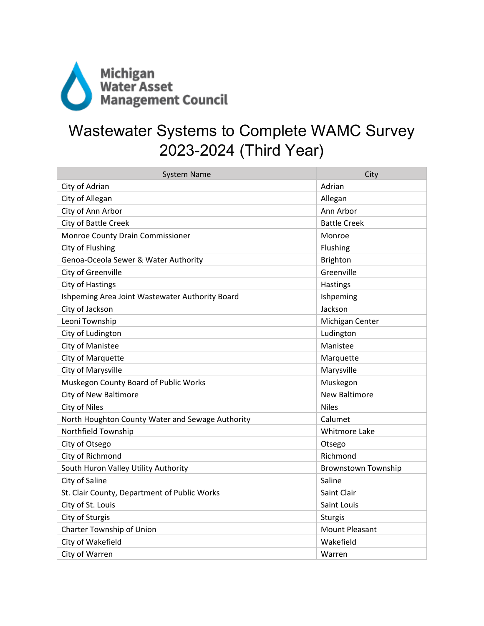

## Wastewater Systems to Complete WAMC Survey 2023-2024 (Third Year)

| <b>System Name</b>                               | City                  |
|--------------------------------------------------|-----------------------|
| City of Adrian                                   | Adrian                |
| City of Allegan                                  | Allegan               |
| City of Ann Arbor                                | Ann Arbor             |
| City of Battle Creek                             | <b>Battle Creek</b>   |
| Monroe County Drain Commissioner                 | Monroe                |
| City of Flushing                                 | Flushing              |
| Genoa-Oceola Sewer & Water Authority             | <b>Brighton</b>       |
| City of Greenville                               | Greenville            |
| City of Hastings                                 | Hastings              |
| Ishpeming Area Joint Wastewater Authority Board  | Ishpeming             |
| City of Jackson                                  | Jackson               |
| Leoni Township                                   | Michigan Center       |
| City of Ludington                                | Ludington             |
| <b>City of Manistee</b>                          | Manistee              |
| City of Marquette                                | Marquette             |
| City of Marysville                               | Marysville            |
| Muskegon County Board of Public Works            | Muskegon              |
| <b>City of New Baltimore</b>                     | <b>New Baltimore</b>  |
| City of Niles                                    | <b>Niles</b>          |
| North Houghton County Water and Sewage Authority | Calumet               |
| Northfield Township                              | <b>Whitmore Lake</b>  |
| City of Otsego                                   | Otsego                |
| City of Richmond                                 | Richmond              |
| South Huron Valley Utility Authority             | Brownstown Township   |
| City of Saline                                   | Saline                |
| St. Clair County, Department of Public Works     | Saint Clair           |
| City of St. Louis                                | Saint Louis           |
| City of Sturgis                                  | <b>Sturgis</b>        |
| Charter Township of Union                        | <b>Mount Pleasant</b> |
| City of Wakefield                                | Wakefield             |
| City of Warren                                   | Warren                |